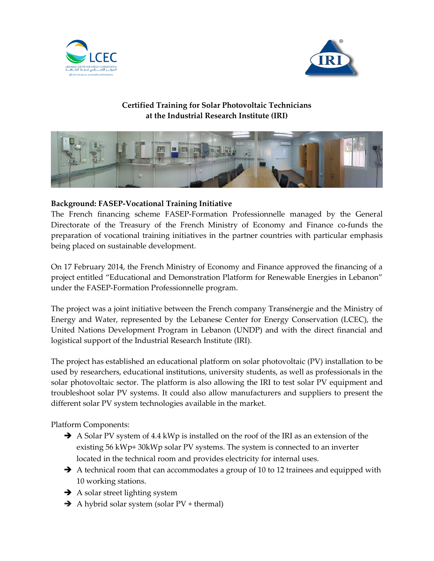



## **Certified Training for Solar Photovoltaic Technicians at the Industrial Research Institute (IRI)**



## **Background: FASEP-Vocational Training Initiative**

The French financing scheme FASEP-Formation Professionnelle managed by the General Directorate of the Treasury of the French Ministry of Economy and Finance co-funds the preparation of vocational training initiatives in the partner countries with particular emphasis being placed on sustainable development.

On 17 February 2014, the French Ministry of Economy and Finance approved the financing of a project entitled "Educational and Demonstration Platform for Renewable Energies in Lebanon" under the FASEP-Formation Professionnelle program.

The project was a joint initiative between the French company Transénergie and the Ministry of Energy and Water, represented by the Lebanese Center for Energy Conservation (LCEC), the United Nations Development Program in Lebanon (UNDP) and with the direct financial and logistical support of the Industrial Research Institute (IRI).

The project has established an educational platform on solar photovoltaic (PV) installation to be used by researchers, educational institutions, university students, as well as professionals in the solar photovoltaic sector. The platform is also allowing the IRI to test solar PV equipment and troubleshoot solar PV systems. It could also allow manufacturers and suppliers to present the different solar PV system technologies available in the market.

Platform Components:

- A Solar PV system of 4.4 kWp is installed on the roof of the IRI as an extension of the existing 56 kWp+ 30kWp solar PV systems. The system is connected to an inverter located in the technical room and provides electricity for internal uses.
- $\rightarrow$  A technical room that can accommodates a group of 10 to 12 trainees and equipped with 10 working stations.
- $\rightarrow$  A solar street lighting system
- $\rightarrow$  A hybrid solar system (solar PV + thermal)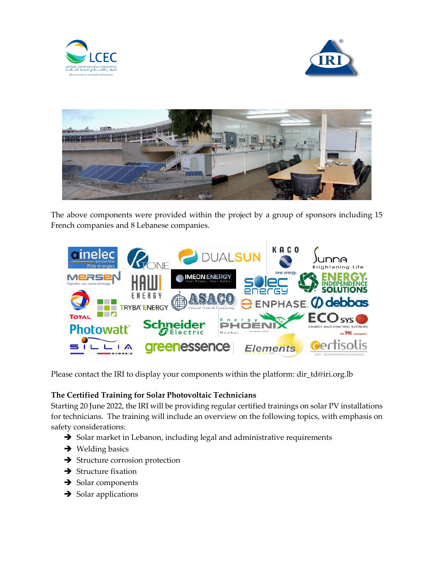





The above components were provided within the project by a group of sponsors including 15 French companies and 8 Lebanese companies.



Please contact the IRI to display your components within the platform: dir\_td@iri.org.lb

## **The Certified Training for Solar Photovoltaic Technicians**

Starting 20 June 2022, the IRI will be providing regular certified trainings on solar PV installations for technicians. The training will include an overview on the following topics, with emphasis on safety considerations:

- $\rightarrow$  Solar market in Lebanon, including legal and administrative requirements
- $\rightarrow$  Welding basics
- $\rightarrow$  Structure corrosion protection
- $\rightarrow$  Structure fixation
- $\rightarrow$  Solar components
- $\rightarrow$  Solar applications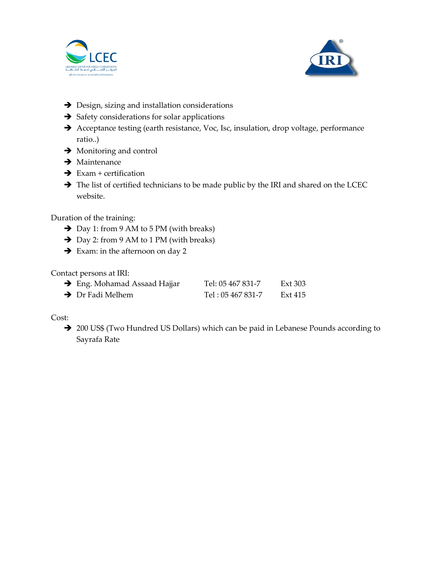



- $\rightarrow$  Design, sizing and installation considerations
- $\rightarrow$  Safety considerations for solar applications
- Acceptance testing (earth resistance, Voc, Isc, insulation, drop voltage, performance ratio..)
- $\rightarrow$  Monitoring and control
- $\rightarrow$  Maintenance
- $\rightarrow$  Exam + certification
- The list of certified technicians to be made public by the IRI and shared on the LCEC website.

Duration of the training:

- → Day 1: from 9 AM to 5 PM (with breaks)
- → Day 2: from 9 AM to 1 PM (with breaks)
- $\rightarrow$  Exam: in the afternoon on day 2

Contact persons at IRI:

| $\rightarrow$ Eng. Mohamad Assaad Hajjar | Tel: 05 467 831-7 | Ext 303 |
|------------------------------------------|-------------------|---------|
| $\rightarrow$ Dr Fadi Melhem             | Tel: 05 467 831-7 | Ext 415 |

Cost:

→ 200 US\$ (Two Hundred US Dollars) which can be paid in Lebanese Pounds according to Sayrafa Rate